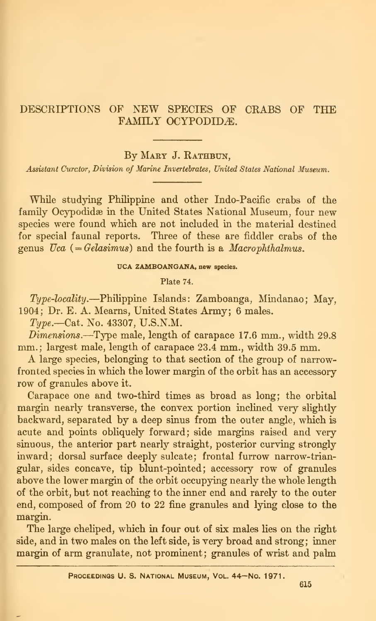# DESCRIPTIONS OF NEW SPECIES OF CRABS OF THE FAMILY OCYPODIDÆ.

By MARY J. RATHBUN,

Assistant Curctor, Division of Marine Invertebrates, United States National Museum.

While studying Philippine and other Indo-Pacific crabs of the family Ocypodidae in the United States National Museum, four new species were found which are not included in the material destined for special faunal reports. Three of these are fiddler crabs of the genus  $Uca$  (= Gelasimus) and the fourth is a *Macrophthalmus*.

## UCA ZAMBOANGANA, new species.

Plate 74.

Type-locality.—Philippine Islands: Zamboanga, Mindanao; May, 1904; Dr. E. A. Mearns, United States Army; 6 males.

Type.—Cat. No. 43307, U.S.N.M.

 $Dimensions.$ —Type male, length of carapace 17.6 mm., width 29.8 mm.: largest male, length of carapace 23.4 mm., width 39.5 mm.

A large species, belonging to that section of the group of narrowfronted species in which the lower margin of the orbit has an accessory row of granules above it.

Carapace one and two-third times as broad as long; the orbital margin nearly transverse, the convex portion inclined very slightly backward, separated by a deep sinus from the outer angle, which is acute and points obliquely forward; side margins raised and very sinuous, the anterior part nearly straight, posterior curving strongly inward; dorsal surface deeply sulcate; frontal furrow narrow-trian gular, sides concave, tip blunt-pointed; accessory row of granules above the lower margin of the orbit occupying nearly the whole length of the orbit, but not reaching to the inner end and rarely to the outer end, composed of from 20 to 22 fine granules and lying close to the margin.

The large cheliped, which in four out of six males lies on the right side, and in two males on the left side, is very broad and strong; inner margin of arm granulate, not prominent; granules of wrist and palm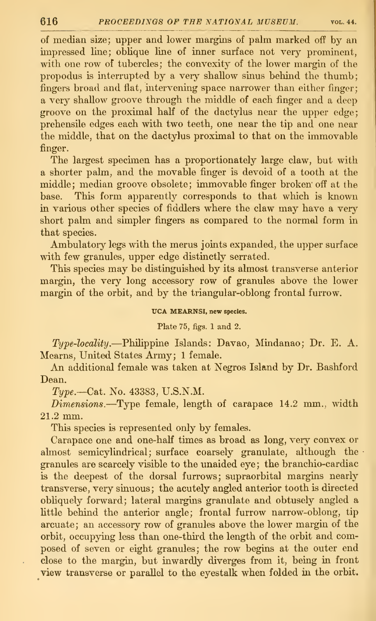of median size; upper and lower margins of palm marked off by an impressed line; oblique line of inner surface not very prominent, with one row of tubercles; the convexity of the lower margin of the propodus is interrupted by a very shallow sinus behind the thumb; fingers broad and flat, intervening space narrower than either finger; a very shallow groove through the middle of each finger and a deep groove on the proximal half of the dactylus near the upper edge; prehensile edges each with two teeth, one near the tip and one near the middle, that on the dactylus proximal to that on the immovable finger.

The largest specimen has a proportionately large claw, but with a shorter palm, and the movable finger is devoid of a tooth at the middle; median groove obsolete; immovable finger broken ofi^ at the base. This form apparently corresponds to that which is known in various other species of fiddlers where the claw may have a very short palm and simpler fingers as compared to the normal form in that species.

Ambulatory legs with the merus joints expanded, the upper surface with few granules, upper edge distinctly serrated.

This species may be distinguished by its almost transverse anterior margin, the very long accessory row of granules above the lower margin of the orbit, and by the triangular-oblong frontal furrow.

UCA MEARNSI, new species.

Plate 75, figs. <sup>1</sup> and 2.

 $Type\text{-}locality$ . Philippine Islands: Davao, Mindanao; Dr. E. A. Mearns, United States Army; <sup>1</sup> female.

An additional female was taken at Negros Island by Dr. Bashford Dean.

 $Type. - Cat.$  No. 43383, U.S.N.M.

 $Dimensions.$ -Type female, length of carapace 14.2 mm., width 21.2 mm.

This species is represented only by females.

Carapace one and one-half times as broad as long, very convex or almost semicylindrical; surface coarsely granulate, although the granules are scarcely visible to the unaided eye ; the branchio-cardiac is the deepest of the dorsal furrows; supraorbital margins nearly transverse, very sinuous ; the acutely angled anterior tooth is directed obliquely forward; lateral margins granulate and obtusely angled a little behind the anterior angle; frontal furrow narrow-oblong, tip arcuate; an accessory row of granules above the lower margin of the orbit, occupying less than one-third the length of the orbit and composed of seven or eight granules; the row begins at the outer end close to the margin, but inwardly diverges from it, being in front view transverse or parallel to the eyestalk when folded in the orbit.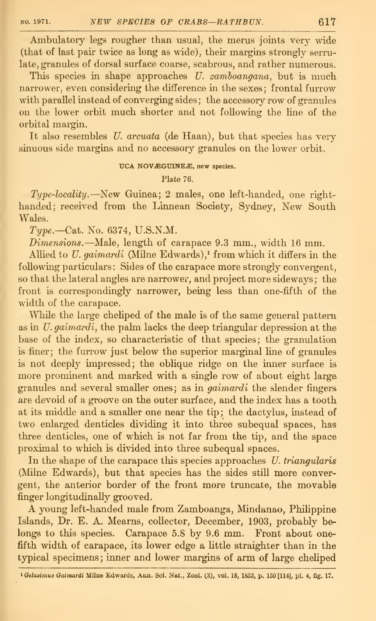Ambulatory legs rougher than usual, the merus joints very wide (that of last pair twice as long as wide), their margins strongly serrulate, granules of dorsal surface coarse, scabrous, and rather numerous.

This species in shape approaches  $U$ . zamboangana, but is much narrower, even considering the difference in the sexes: frontal furrow with parallel instead of converging sides; the accessory row of granules on the lower orbit much shorter and not following the line of the orbital margin.

It also resembles U. arcuata (de Haan), but that species has very sinuous side margins and no accessory granules on the lower orbit.

## UCA NOVÆGUINEÆ, new species.

Plate 76.

Type-locality.—New Guinea; 2 males, one left-handed, one right handed; received from the Linnean Society, Sydney, New South Wales.

Type.-Cat. No. 6374, U.S.N.M.

Dimensions.—Male, length of carapace 9.3 mm., width <sup>16</sup> mm.

Allied to  $U$ . gaimardi (Milne Edwards),<sup>1</sup> from which it differs in the following particulars: Sides of the carapace more strongly convergent, so that the lateral angles are narrower, and project more sideways; the front is correspondingly narrower, being less than one-fifth of the width of the carapace.

While the large cheliped of the male is of the same general pattern as in U. gaimardi, the palm lacks the deep triangular depression at the base of the index, so characteristic of that species; the granulation is finer; the furrow just below the superior marginal line of granules is not deeply impressed; the oblique ridge on the inner surface is more prominent and marked with a single row of about eight large granules and several smaller ones; as in gaimardi the slender fingers are devoid of a groove on the outer surface, and the index has a tooth at its middle and a smaller one near the tip; the dactylus, instead of two enlarged denticles dividing it into three subequal spaces, has three denticles, one of which is not far from the tip, and the space proximal to which is divided into three subequal spaces.

In the shape of the carapace this species approaches  $U$ . triangularis (Milne Edwards), but that species has the sides still more convergent, the anterior border of the front more truncate, the movable finger longitudinally grooved.

A young left-handed male from Zamboanga, Mindanao, Phihppine Islands, Dr. E. A. Mearns, collector, December, 1903, probably be longs to this species. Carapace 5.8 by 9.6 mm. Front about onefifth width of carapace, its lower edge a little straighter than in the typical specimens; inner and lower margins of arm of large cheliped

<sup>&</sup>lt;sup>1</sup> Gelasimus Gaimardi Milne Edwards, Ann. Sci. Nat., Zool. (3), vol. 18, 1852, p. 150 [114], pl. 4, fig. 17.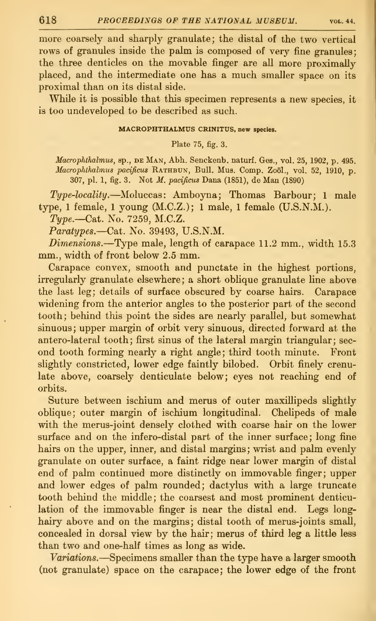more coarsely and sharply granulate; the distal of the two vertical rows of granules inside the palm is composed of very fine granules; the three denticles on the movable finger are all more proximally placed, and the intermediate one has a much smaller space on its proximal than on its distal side.

While it is possible that this specimen represents a new species, it is too undeveloped to be described as such.

### MACROPHTHALMUS CRINITUS. new species.

Plate 75, fig. 3.

Macrophthalmus, sp., DE MAN, Abh. Senckenb. naturf. Ges., vol. 25, 1902, p. 495. Macrophthalmus pacificus RATHBUN, Bull. Mus. Comp. Zoöl., vol. 52, 1910, p. 307, pi. 1, fig. 3. Not M. pacijicus Dana (1851), de Man (1890)

Type-locality.—Moluccas: Amboyna; Thomas Barbour; <sup>1</sup> male type, <sup>1</sup> female, <sup>1</sup>young (M.C.Z.); <sup>1</sup> male, <sup>1</sup> female (U.S.N.M.).

Type.—C&t. No. 7259, M.C.Z.

Paratypes.—Cat. No. 39493, U.S.N.M.

Dimensions.—Type male, length of carapace 11.2 mm., width 15.3 mm., width of front below 2.5 mm.

Carapace convex, smooth and punctate in the highest portions, irregularly granulate elsewhere; a short oblique granulate line above the last leg; details of surface obscured by coarse hairs. Carapace widening from the anterior angles to the posterior part of the second tooth; behind this point the sides are nearly parallel, but somewhat sinuous; upper margin of orbit very sinuous, directed forward at the antero-lateral tooth; first sinus of the lateral margin triangular; sec ond tooth forming nearly a right angle; third tooth minute. Front slightly constricted, lower edge faintly bilobed. Orbit finely crenulate above, coarsely denticulate below; eyes not reaching end of orbits.

Suture between ischium and merus of outer maxillipeds slightly oblique; outer margin of ischium longitudinal. Chelipeds of male with the merus-joint densely clothed with coarse hair on the lower surface and on the infero-distal part of the inner surface; long fine hairs on the upper, inner, and distal margins; wrist and palm evenly granulate on outer surface, a faint ridge near lower margin of distal end of palm continued more distinctly on immovable finger; upper and lower edges of palm rounded; dactylus with a large truncate tooth behind the middle; the coarsest and most prominent denticulation of the immovable finger is near the distal end. Legs longhairy above and on the margins; distal tooth of merus-joints small, concealed in dorsal view by the hair; merus of third leg a little less than two and one-half times as long as wide.

Variations.—Specimens smaller than the type have <sup>a</sup> larger smooth (not granulate) space on the carapace; the lower edge of the front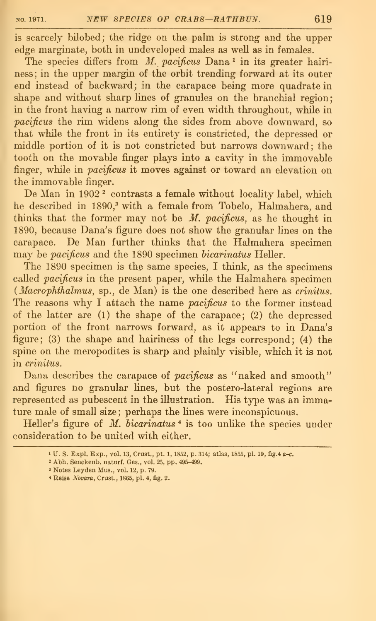is scarcely bilobed; the ridge on the palm is strong and the upper edge marginate, both in undeveloped males as well as in females.

The species differs from  $M.$  pacificus Dana<sup>1</sup> in its greater hairiness; in the upper margin of the orbit trending forward at its outer end instead of backward; in the carapace being more quadrate in shape and without sharp lines of granules on the branchial region; in the front having a narrow rim of even width throughout, while in pacificus the rim widens along the sides from above downward, so that while the front in its entirety is constricted, the depressed or middle portion of it is not constricted but narrows downward; the tooth on the movable finger plays into a cavity in the immovable finger, while in pacificus it moves against or toward an elevation on the immovable finger.

De Man in 1902<sup>2</sup> contrasts a female without locality label, which he described in 1890,<sup>3</sup> with a female from Tobelo, Halmahera, and thinks that the former may not be  $M$ . pacificus, as he thought in 1890, because Dana's figure does not show the granular lines on the carapace. De Man further thinks that the Halmahera specimen may be pacificus and the 1890 specimen bicarinatus Heller.

The 1890 specimen is the same species, I think, as the specimens called *pacificus* in the present paper, while the Halmahera specimen  $(Macrophthalmus, sp., de Man)$  is the one described here as *crinitus*. The reasons why I attach the name *pacificus* to the former instead of the latter are (1) the shape of the carapace; (2) the depressed portion of the front narrows forward, as it appears to in Dana's figure; (3) the shape and hairiness of the legs correspond; (4) the spine on the meropodites is sharp and plainly visible, which it is not in crinitus.

Dana describes the carapace of pacificus as "naked and smooth" and figures no granular lines, but the postero-lateral regions are represented as pubescent in the illustration. His type was an immature male of small size; perhaps the lines were inconspicuous.

Heller's figure of  $M$ .  $bicarinatus$ <sup>4</sup> is too unlike the species under consideration to be united with either.

<sup>3</sup> Notes Leyden Mus., vol. 12, p. 79.

<sup>1</sup> U. S. Expl. Exp., vol. 13, Crust., pt. 1, 1852, p. 314; atlas, 1855, pi. 19, fig.4 a-c.

<sup>&</sup>lt;sup>2</sup> Abh. Senckenb. naturf. Ges., vol. 25, pp. 495-499.

<sup>\*</sup> Reise Novara, Crust., 1865, pi. 4, fig. 2.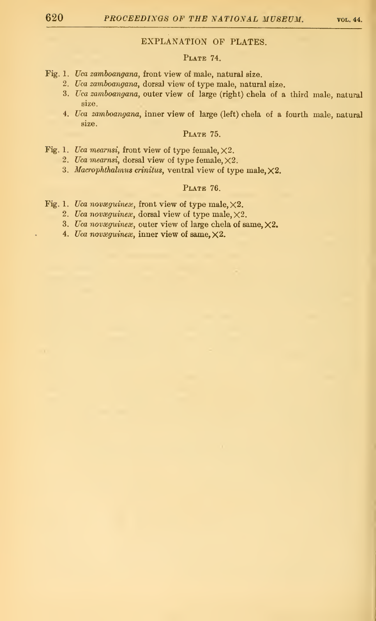## EXPLANATION OF PLATES.

## PLATE 74.

- Fig. 1. Uca zamboangana, front view of male, natural size.
	- 2. Uca zamboangana, dorsal view of type male, natural size.
	- 3. Uca zamboangana, outer view of large (right) chela of a third male, natural size.
	- 4. Uca zamboangana, inner view of large (left) chela of a fourth male, natural size.

### PLATE 75.

- Fig. 1. Uca mearnsi, front view of type female,  $\times 2$ .
	- 2. Uca mearnsi, dorsal view of type female,  $\times 2$ .
	- 3. Macrophthalmus crinitus, ventral view of type male,  $\times 2$ .

### PLATE 76.

- Fig. 1. Uca novæguines, front view of type male,  $\times 2$ .
	- 2. Uca novæguineæ, dorsal view of type male,  $\times 2$ .
	- 3. Uca novæguineæ, outer view of large chela of same,  $\times 2$ .
	- 4. Uca novæguineæ, inner view of same,  $\times 2$ .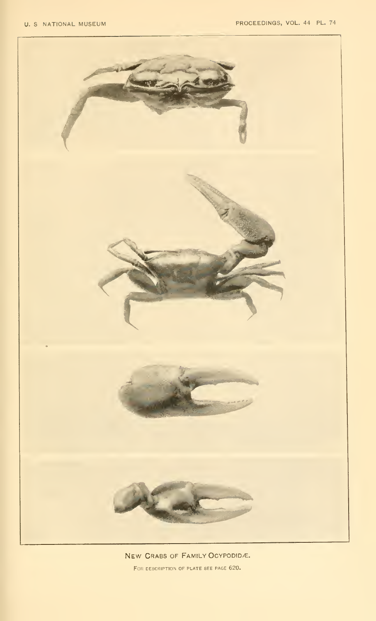

New Crabs of Family Ocypodid/e. FOR DESCRIPTION OF PLATE SEE PAGE 620.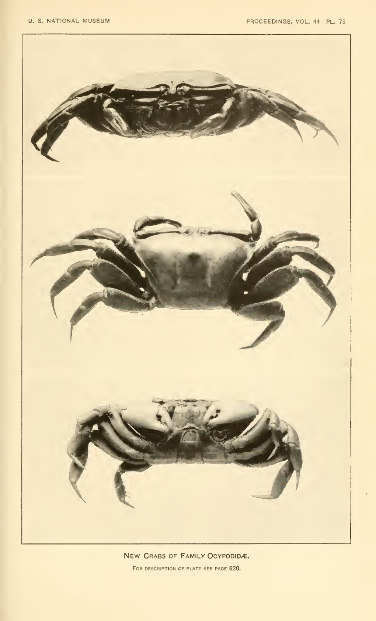

NEW CRABS OF FAMILY OCYPODIDÆ. For description of plate see page 620.